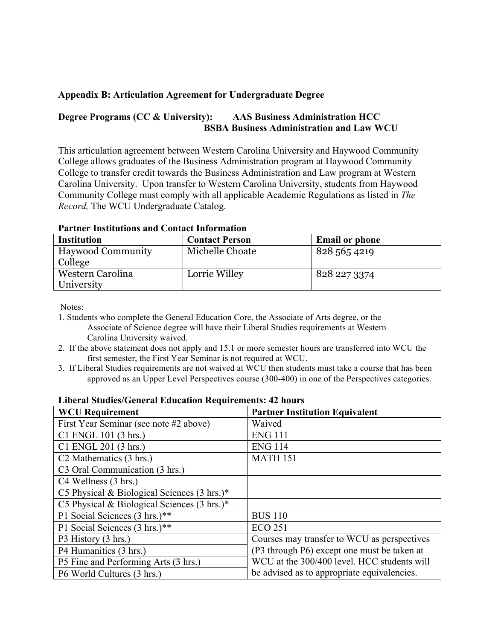### **Appendix B: Articulation Agreement for Undergraduate Degree**

# **Degree Programs (CC & University): AAS Business Administration HCC BSBA Business Administration and Law WCU**

This articulation agreement between Western Carolina University and Haywood Community College allows graduates of the Business Administration program at Haywood Community College to transfer credit towards the Business Administration and Law program at Western Carolina University. Upon transfer to Western Carolina University, students from Haywood Community College must comply with all applicable Academic Regulations as listed in *The Record,* The WCU Undergraduate Catalog.

| <b>Institution</b>       | <b>Contact Person</b> | <b>Email or phone</b> |
|--------------------------|-----------------------|-----------------------|
| <b>Haywood Community</b> | Michelle Choate       | 828 565 4219          |
| College                  |                       |                       |
| Western Carolina         | Lorrie Willey         | 828 227 3374          |
| University               |                       |                       |

**Partner Institutions and Contact Information**

Notes:

- 1. Students who complete the General Education Core, the Associate of Arts degree, or the Associate of Science degree will have their Liberal Studies requirements at Western Carolina University waived.
- 2. If the above statement does not apply and 15.1 or more semester hours are transferred into WCU the first semester, the First Year Seminar is not required at WCU.
- 3. If Liberal Studies requirements are not waived at WCU then students must take a course that has been approved as an Upper Level Perspectives course (300-400) in one of the Perspectives categories.

| пля агэнцику бенегат паданон тедин спіснея. 42 новгэ   |                                             |  |  |  |
|--------------------------------------------------------|---------------------------------------------|--|--|--|
| <b>WCU Requirement</b>                                 | <b>Partner Institution Equivalent</b>       |  |  |  |
| First Year Seminar (see note #2 above)                 | Waived                                      |  |  |  |
| C1 ENGL 101 (3 hrs.)                                   | <b>ENG 111</b>                              |  |  |  |
| C1 ENGL 201 (3 hrs.)                                   | <b>ENG 114</b>                              |  |  |  |
| C <sub>2</sub> Mathematics (3 hrs.)                    | <b>MATH 151</b>                             |  |  |  |
| C3 Oral Communication (3 hrs.)                         |                                             |  |  |  |
| C4 Wellness (3 hrs.)                                   |                                             |  |  |  |
| C5 Physical & Biological Sciences $(3 \text{ hrs.})^*$ |                                             |  |  |  |
| C5 Physical & Biological Sciences $(3 \text{ hrs.})^*$ |                                             |  |  |  |
| P1 Social Sciences (3 hrs.)**                          | <b>BUS 110</b>                              |  |  |  |
| P1 Social Sciences (3 hrs.)**                          | <b>ECO 251</b>                              |  |  |  |
| P3 History (3 hrs.)                                    | Courses may transfer to WCU as perspectives |  |  |  |
| P4 Humanities (3 hrs.)                                 | (P3 through P6) except one must be taken at |  |  |  |
| P5 Fine and Performing Arts (3 hrs.)                   | WCU at the 300/400 level. HCC students will |  |  |  |
| P6 World Cultures (3 hrs.)                             | be advised as to appropriate equivalencies. |  |  |  |

#### **Liberal Studies/General Education Requirements: 42 hours**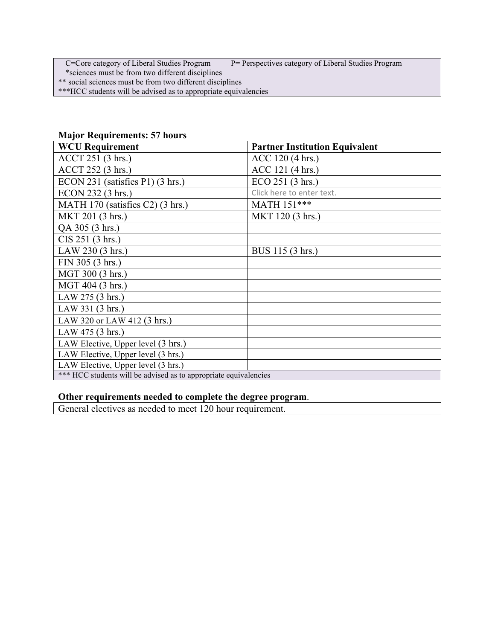C=Core category of Liberal Studies Program P= Perspectives category of Liberal Studies Program

\*sciences must be from two different disciplines

\*\* social sciences must be from two different disciplines

\*\*\*HCC students will be advised as to appropriate equivalencies

| <b>WCU Requirement</b>                                           | <b>Partner Institution Equivalent</b> |  |  |
|------------------------------------------------------------------|---------------------------------------|--|--|
| ACCT 251 (3 hrs.)                                                | ACC 120 (4 hrs.)                      |  |  |
| ACCT 252 (3 hrs.)                                                | ACC 121 (4 hrs.)                      |  |  |
| ECON 231 (satisfies P1) (3 hrs.)                                 | ECO 251 (3 hrs.)                      |  |  |
| ECON 232 (3 hrs.)                                                | Click here to enter text.             |  |  |
| MATH 170 (satisfies C2) (3 hrs.)                                 | MATH 151***                           |  |  |
| MKT 201 (3 hrs.)                                                 | MKT 120 (3 hrs.)                      |  |  |
| QA 305 (3 hrs.)                                                  |                                       |  |  |
| CIS 251 (3 hrs.)                                                 |                                       |  |  |
| LAW 230 (3 hrs.)                                                 | BUS 115 (3 hrs.)                      |  |  |
| FIN 305 (3 hrs.)                                                 |                                       |  |  |
| MGT 300 (3 hrs.)                                                 |                                       |  |  |
| MGT 404 (3 hrs.)                                                 |                                       |  |  |
| LAW 275 (3 hrs.)                                                 |                                       |  |  |
| LAW 331 (3 hrs.)                                                 |                                       |  |  |
| LAW 320 or LAW 412 (3 hrs.)                                      |                                       |  |  |
| LAW 475 (3 hrs.)                                                 |                                       |  |  |
| LAW Elective, Upper level (3 hrs.)                               |                                       |  |  |
| LAW Elective, Upper level (3 hrs.)                               |                                       |  |  |
| LAW Elective, Upper level (3 hrs.)                               |                                       |  |  |
| *** HCC students will be advised as to appropriate equivalencies |                                       |  |  |

# **Major Requirements: 57 hours**

## **Other requirements needed to complete the degree program**.

General electives as needed to meet 120 hour requirement.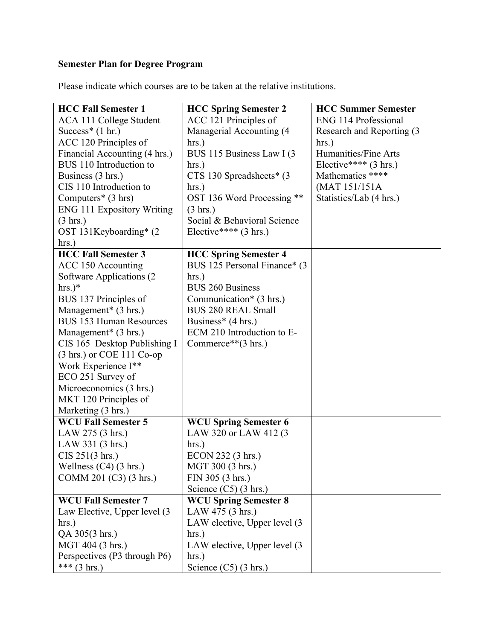# **Semester Plan for Degree Program**

Please indicate which courses are to be taken at the relative institutions.

| <b>HCC Fall Semester 1</b>          | <b>HCC Spring Semester 2</b>      | <b>HCC Summer Semester</b>      |
|-------------------------------------|-----------------------------------|---------------------------------|
| ACA 111 College Student             | ACC 121 Principles of             | ENG 114 Professional            |
| Success* $(1 hr.)$                  | Managerial Accounting (4)         | Research and Reporting (3)      |
| ACC 120 Principles of               | $hrs.$ )                          | $hrs.$ )                        |
| Financial Accounting (4 hrs.)       | BUS 115 Business Law I (3)        | Humanities/Fine Arts            |
| BUS 110 Introduction to             | hrs.)                             | Elective**** $(3 \text{ hrs.})$ |
| Business (3 hrs.)                   | $CTS 130$ Spreadsheets* $(3)$     | Mathematics ****                |
| CIS 110 Introduction to             | hrs.)                             | (MAT 151/151A                   |
| Computers $*$ (3 hrs)               | OST 136 Word Processing **        | Statistics/Lab (4 hrs.)         |
| <b>ENG 111 Expository Writing</b>   | $(3 \text{ hrs.})$                |                                 |
| $(3 \text{ hrs.})$                  | Social & Behavioral Science       |                                 |
| OST 131Keyboarding* (2)             | Elective**** $(3 \text{ hrs.})$   |                                 |
| $hrs.$ )                            |                                   |                                 |
| <b>HCC Fall Semester 3</b>          | <b>HCC Spring Semester 4</b>      |                                 |
| ACC 150 Accounting                  | BUS 125 Personal Finance* (3)     |                                 |
| Software Applications (2)           | $hrs.$ )                          |                                 |
| $hrs.)*$                            | <b>BUS 260 Business</b>           |                                 |
| BUS 137 Principles of               | Communication* $(3 \text{ hrs.})$ |                                 |
| Management* (3 hrs.)                | <b>BUS 280 REAL Small</b>         |                                 |
| <b>BUS 153 Human Resources</b>      | Business* $(4 \text{ hrs.})$      |                                 |
| Management* (3 hrs.)                | ECM 210 Introduction to E-        |                                 |
| CIS 165 Desktop Publishing I        | Commerce** $(3 \text{ hrs.})$     |                                 |
| $(3 \text{ hrs.})$ or COE 111 Co-op |                                   |                                 |
| Work Experience I**                 |                                   |                                 |
| ECO 251 Survey of                   |                                   |                                 |
| Microeconomics (3 hrs.)             |                                   |                                 |
| MKT 120 Principles of               |                                   |                                 |
| Marketing (3 hrs.)                  |                                   |                                 |
| <b>WCU Fall Semester 5</b>          | <b>WCU Spring Semester 6</b>      |                                 |
| LAW 275 (3 hrs.)                    | LAW 320 or LAW 412 (3             |                                 |
| LAW 331 (3 hrs.)                    | $hrs.$ )                          |                                 |
| CIS 251(3 hrs.)                     | ECON 232 (3 hrs.)                 |                                 |
| Wellness $(C4)$ (3 hrs.)            | MGT 300 (3 hrs.)                  |                                 |
| COMM 201 (C3) (3 hrs.)              | FIN 305 (3 hrs.)                  |                                 |
|                                     | Science $(C5)$ (3 hrs.)           |                                 |
| <b>WCU Fall Semester 7</b>          | <b>WCU Spring Semester 8</b>      |                                 |
| Law Elective, Upper level (3)       | LAW 475 (3 hrs.)                  |                                 |
| $hrs.$ )                            | LAW elective, Upper level (3      |                                 |
| QA 305(3 hrs.)                      | $hrs.$ )                          |                                 |
| MGT 404 (3 hrs.)                    | LAW elective, Upper level (3)     |                                 |
| Perspectives (P3 through P6)        | $hrs.$ )                          |                                 |
| *** $(3 \text{ hrs.})$              | Science $(C5)$ (3 hrs.)           |                                 |